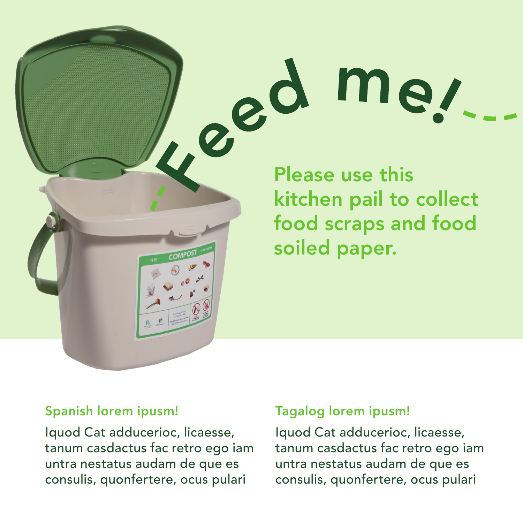# Led me.

kitchen pail to collect food scraps and food soiled paper.

Iquod Cat adducerioc, licaesse, tanum casdactus fac retro ego iam untra nestatus audam de que es consulis, quonfertere, ocus pulari

## Spanish lorem ipusm! Tagalog lorem ipusm!

Iquod Cat adducerioc, licaesse, tanum casdactus fac retro ego iam untra nestatus audam de que es consulis, quonfertere, ocus pulari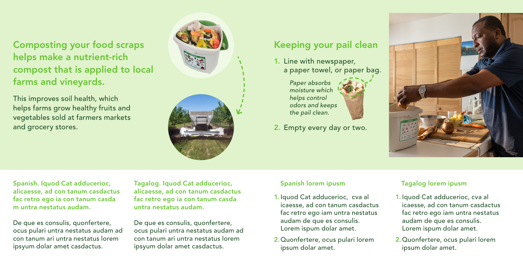Composting your food scraps helps make a nutrient-rich compost that is applied to local farms and vineyards.

This improves soil health, which helps farms grow healthy fruits and vegetables sold at farmers markets and grocery stores.



# Keeping your pail clean

1. Line with newspaper, a paper towel, or paper bag.

> *Paper absorbs moisture which helps control odors and keeps the pail clean.*

2. Empty every day or two.



Spanish. Iquod Cat adducerioc, alicaesse, ad con tanum casdactus fac retro ego ia con tanum casda m untra nestatus audam.

De que es consulis, quonfertere, ocus pulari untra nestatus audam ad con tanum ari untra nestatus lorem ipsyum dolar amet casdactus.

Tagalog. Iquod Cat adducerioc, alicaesse, ad con tanum casdactus fac retro ego ia con tanum casda untra nestatus audam.

De que es consulis, quonfertere, ocus pulari untra nestatus audam ad con tanum ari untra nestatus lorem ipsyum dolar amet casdactus.

# Spanish lorem ipusm Tagalog lorem ipusm

- 1. Iquod Cat adducerioc, cva al icaesse, ad con tanum casdactus fac retro ego iam untra nestatus audam de que es consulis. Lorem ispum dolar amet.
- 2.Quonfertere, ocus pulari lorem ipsum dolar amet.

- 1. Iquod Cat adducerioc, cva al icaesse, ad con tanum casdactus fac retro ego iam untra nestatus audam de que es consulis. Lorem ispum dolar amet.
- 2.Quonfertere, ocus pulari lorem ipsum dolar amet.